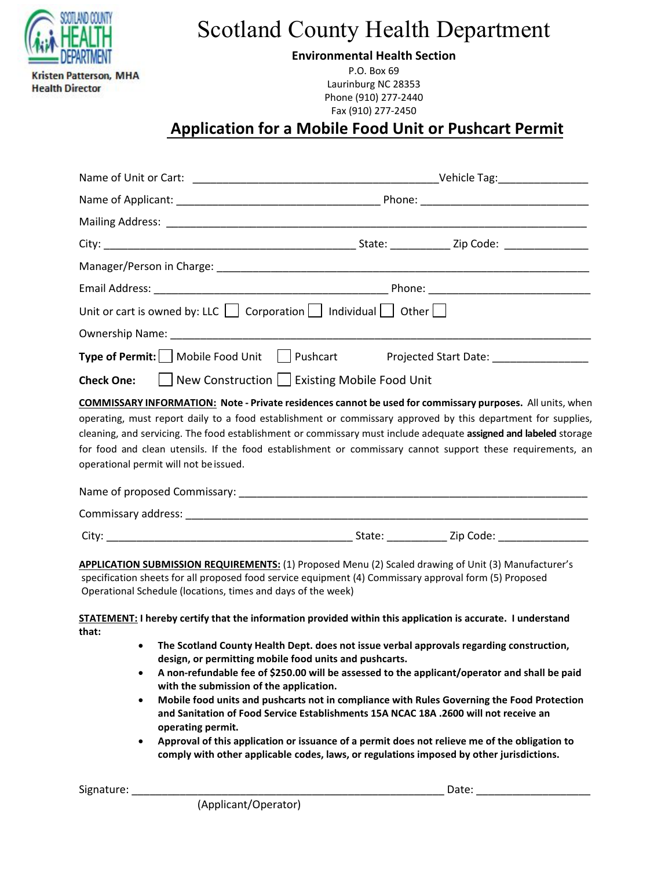

Scotland County Health Department

**Environmental Health Section** 

P.O. Box 69 Laurinburg NC 28353 Phone (910) 277-2440 Fax (910) 277-2450

# **Application for a Mobile Food Unit or Pushcart Permit**

|                                                                                                                                                                                                                                                                                                                                                                                                                                                                                                                                                                                                                                                                                                                                                             | Unit or cart is owned by: LLC $\Box$ Corporation $\Box$ Individual $\Box$ Other $\Box$                                                                                                                                                                                                                                                                                                        |  |  |  |  |  |
|-------------------------------------------------------------------------------------------------------------------------------------------------------------------------------------------------------------------------------------------------------------------------------------------------------------------------------------------------------------------------------------------------------------------------------------------------------------------------------------------------------------------------------------------------------------------------------------------------------------------------------------------------------------------------------------------------------------------------------------------------------------|-----------------------------------------------------------------------------------------------------------------------------------------------------------------------------------------------------------------------------------------------------------------------------------------------------------------------------------------------------------------------------------------------|--|--|--|--|--|
|                                                                                                                                                                                                                                                                                                                                                                                                                                                                                                                                                                                                                                                                                                                                                             |                                                                                                                                                                                                                                                                                                                                                                                               |  |  |  |  |  |
|                                                                                                                                                                                                                                                                                                                                                                                                                                                                                                                                                                                                                                                                                                                                                             | Type of Permit: Mobile Food Unit Pushcart Projected Start Date: ________________                                                                                                                                                                                                                                                                                                              |  |  |  |  |  |
| <b>Check One:</b>                                                                                                                                                                                                                                                                                                                                                                                                                                                                                                                                                                                                                                                                                                                                           | □ New Construction   Existing Mobile Food Unit                                                                                                                                                                                                                                                                                                                                                |  |  |  |  |  |
|                                                                                                                                                                                                                                                                                                                                                                                                                                                                                                                                                                                                                                                                                                                                                             | cleaning, and servicing. The food establishment or commissary must include adequate assigned and labeled storage<br>for food and clean utensils. If the food establishment or commissary cannot support these requirements, an<br>operational permit will not be issued.                                                                                                                      |  |  |  |  |  |
|                                                                                                                                                                                                                                                                                                                                                                                                                                                                                                                                                                                                                                                                                                                                                             |                                                                                                                                                                                                                                                                                                                                                                                               |  |  |  |  |  |
|                                                                                                                                                                                                                                                                                                                                                                                                                                                                                                                                                                                                                                                                                                                                                             | APPLICATION SUBMISSION REQUIREMENTS: (1) Proposed Menu (2) Scaled drawing of Unit (3) Manufacturer's<br>specification sheets for all proposed food service equipment (4) Commissary approval form (5) Proposed<br>Operational Schedule (locations, times and days of the week)<br>STATEMENT: I hereby certify that the information provided within this application is accurate. I understand |  |  |  |  |  |
| that:<br>The Scotland County Health Dept. does not issue verbal approvals regarding construction,<br>$\bullet$<br>design, or permitting mobile food units and pushcarts.<br>A non-refundable fee of \$250.00 will be assessed to the applicant/operator and shall be paid<br>٠<br>with the submission of the application.<br>Mobile food units and pushcarts not in compliance with Rules Governing the Food Protection<br>$\bullet$<br>and Sanitation of Food Service Establishments 15A NCAC 18A .2600 will not receive an<br>operating permit.<br>Approval of this application or issuance of a permit does not relieve me of the obligation to<br>$\bullet$<br>comply with other applicable codes, laws, or regulations imposed by other jurisdictions. |                                                                                                                                                                                                                                                                                                                                                                                               |  |  |  |  |  |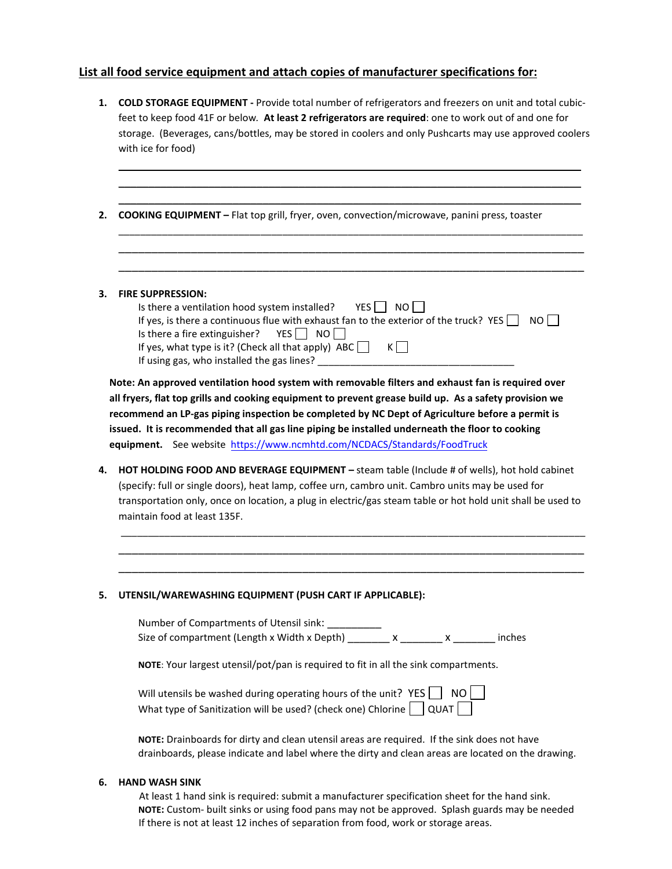## **List all food service equipment and attach copies of manufacturer specifications for:**

| storage. (Beverages, cans/bottles, may be stored in coolers and only Pushcarts may use approved coolers<br>with ice for food) |                                                                                                                                                                                                                                                                         |  |  |
|-------------------------------------------------------------------------------------------------------------------------------|-------------------------------------------------------------------------------------------------------------------------------------------------------------------------------------------------------------------------------------------------------------------------|--|--|
|                                                                                                                               |                                                                                                                                                                                                                                                                         |  |  |
|                                                                                                                               |                                                                                                                                                                                                                                                                         |  |  |
|                                                                                                                               |                                                                                                                                                                                                                                                                         |  |  |
|                                                                                                                               | <b>COOKING EQUIPMENT</b> - Flat top grill, fryer, oven, convection/microwave, panini press, toaster                                                                                                                                                                     |  |  |
|                                                                                                                               |                                                                                                                                                                                                                                                                         |  |  |
|                                                                                                                               | <b>FIRE SUPPRESSION:</b>                                                                                                                                                                                                                                                |  |  |
|                                                                                                                               | Is there a ventilation hood system installed? $YES$ NO                                                                                                                                                                                                                  |  |  |
|                                                                                                                               | If yes, is there a continuous flue with exhaust fan to the exterior of the truck? YES $\Box$<br>NO L                                                                                                                                                                    |  |  |
|                                                                                                                               | YES <sub>N</sub> NO<br>Is there a fire extinguisher?<br>$K$ $\Box$<br>If yes, what type is it? (Check all that apply) $ABC$                                                                                                                                             |  |  |
|                                                                                                                               |                                                                                                                                                                                                                                                                         |  |  |
|                                                                                                                               |                                                                                                                                                                                                                                                                         |  |  |
|                                                                                                                               | Note: An approved ventilation hood system with removable filters and exhaust fan is required over                                                                                                                                                                       |  |  |
|                                                                                                                               |                                                                                                                                                                                                                                                                         |  |  |
|                                                                                                                               | all fryers, flat top grills and cooking equipment to prevent grease build up. As a safety provision we                                                                                                                                                                  |  |  |
|                                                                                                                               |                                                                                                                                                                                                                                                                         |  |  |
|                                                                                                                               | recommend an LP-gas piping inspection be completed by NC Dept of Agriculture before a permit is                                                                                                                                                                         |  |  |
|                                                                                                                               | issued. It is recommended that all gas line piping be installed underneath the floor to cooking                                                                                                                                                                         |  |  |
|                                                                                                                               | equipment. See website https://www.ncmhtd.com/NCDACS/Standards/FoodTruck                                                                                                                                                                                                |  |  |
|                                                                                                                               |                                                                                                                                                                                                                                                                         |  |  |
|                                                                                                                               | (specify: full or single doors), heat lamp, coffee urn, cambro unit. Cambro units may be used for                                                                                                                                                                       |  |  |
|                                                                                                                               |                                                                                                                                                                                                                                                                         |  |  |
|                                                                                                                               | maintain food at least 135F.                                                                                                                                                                                                                                            |  |  |
|                                                                                                                               |                                                                                                                                                                                                                                                                         |  |  |
|                                                                                                                               |                                                                                                                                                                                                                                                                         |  |  |
|                                                                                                                               |                                                                                                                                                                                                                                                                         |  |  |
|                                                                                                                               | HOT HOLDING FOOD AND BEVERAGE EQUIPMENT - steam table (Include # of wells), hot hold cabinet<br>transportation only, once on location, a plug in electric/gas steam table or hot hold unit shall be used to<br>UTENSIL/WAREWASHING EQUIPMENT (PUSH CART IF APPLICABLE): |  |  |
|                                                                                                                               | Number of Compartments of Utensil sink:                                                                                                                                                                                                                                 |  |  |
|                                                                                                                               | Size of compartment (Length x Width x Depth) x x x x x x<br>inches                                                                                                                                                                                                      |  |  |
|                                                                                                                               | NOTE: Your largest utensil/pot/pan is required to fit in all the sink compartments.                                                                                                                                                                                     |  |  |
|                                                                                                                               | Will utensils be washed during operating hours of the unit? $YES$<br>NO I                                                                                                                                                                                               |  |  |
|                                                                                                                               | What type of Sanitization will be used? (check one) Chlorine     QUAT                                                                                                                                                                                                   |  |  |
|                                                                                                                               | NOTE: Drainboards for dirty and clean utensil areas are required. If the sink does not have                                                                                                                                                                             |  |  |

#### **6. HAND WASH SINK**

 At least 1 hand sink is required: submit a manufacturer specification sheet for the hand sink. **NOTE:** Custom- built sinks or using food pans may not be approved. Splash guards may be needed If there is not at least 12 inches of separation from food, work or storage areas.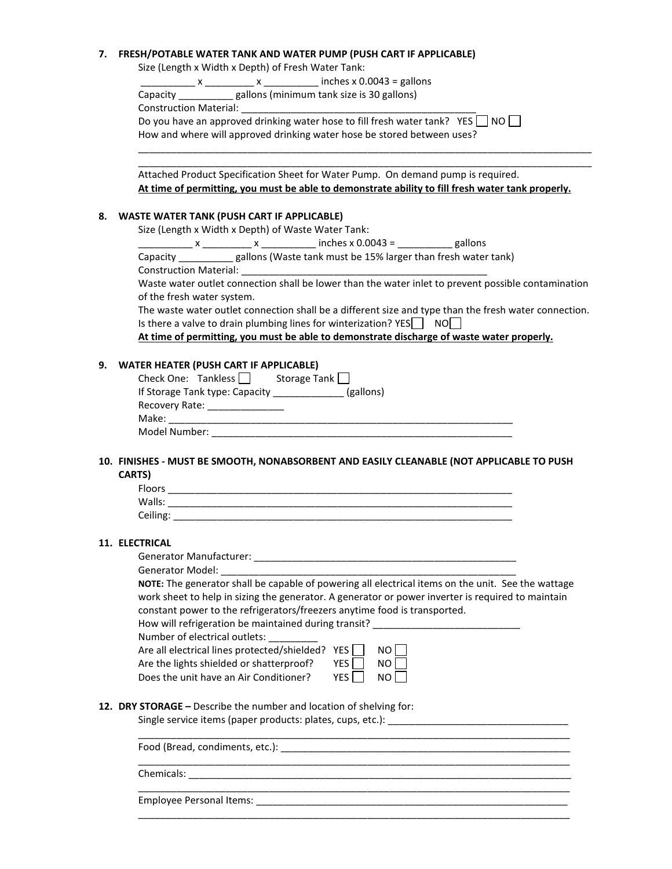#### **7. FRESH/POTABLE WATER TANK AND WATER PUMP (PUSH CART IF APPLICABLE)**

Size (Length x Width x Depth) of Fresh Water Tank:

 $x = x$   $x = 0.0043 =$  gallons Capacity \_\_\_\_\_\_\_\_\_\_ gallons (minimum tank size is 30 gallons)

Construction Material:

Do you have an approved drinking water hose to fill fresh water tank? YES  $\Box$  NO  $\Box$ 

How and where will approved drinking water hose be stored between uses?

Attached Product Specification Sheet for Water Pump. On demand pump is required. **At time of permitting, you must be able to demonstrate ability to fill fresh water tank properly.**

\_\_\_\_\_\_\_\_\_\_\_\_\_\_\_\_\_\_\_\_\_\_\_\_\_\_\_\_\_\_\_\_\_\_\_\_\_\_\_\_\_\_\_\_\_\_\_\_\_\_\_\_\_\_\_\_\_\_\_\_\_\_\_\_\_\_\_\_\_\_\_\_\_\_\_\_\_\_\_\_\_\_\_ \_\_\_\_\_\_\_\_\_\_\_\_\_\_\_\_\_\_\_\_\_\_\_\_\_\_\_\_\_\_\_\_\_\_\_\_\_\_\_\_\_\_\_\_\_\_\_\_\_\_\_\_\_\_\_\_\_\_\_\_\_\_\_\_\_\_\_\_\_\_\_\_\_\_\_\_\_\_\_\_\_\_\_

#### **8. WASTE WATER TANK (PUSH CART IF APPLICABLE)**

Size (Length x Width x Depth) of Waste Water Tank:

 $x_1 x_2 x_3 x_4 x_5 x_6 x_7 x_7 x_8 x_9 x_9 x_1 x_1 x_2 x_3 x_4 x_5 x_6 x_7 x_8 x_9 x_1 x_1 x_2 x_3 x_4 x_5 x_6 x_7 x_1 x_2 x_3 x_4 x_5 x_6 x_6 x_7 x_8 x_9 x_1 x_2 x_3 x_4 x_5 x_6 x_6 x_7 x_8 x_9 x_1 x_2 x_3 x_4 x_5 x_6 x_7 x_8 x_9 x_1 x_2 x_3 x_4 x_4 x_5 x_6 x_7 x_8 x_9 x_1 x_2 x_3 x_4 x_4 x$ 

Capacity \_\_\_\_\_\_\_\_\_\_ gallons (Waste tank must be 15% larger than fresh water tank) Construction Material:

Waste water outlet connection shall be lower than the water inlet to prevent possible contamination of the fresh water system.

The waste water outlet connection shall be a different size and type than the fresh water connection. Is there a valve to drain plumbing lines for winterization?  $YES$  NO $\Box$ 

**At time of permitting, you must be able to demonstrate discharge of waste water properly.**

#### **9. WATER HEATER (PUSH CART IF APPLICABLE)**

| Check One: Tankless            | Storage Tank |
|--------------------------------|--------------|
| If Storage Tank type: Capacity | (gallons)    |
| Recovery Rate:                 |              |
| Make:                          |              |
| Model Number:                  |              |

#### **10. FINISHES - MUST BE SMOOTH, NONABSORBENT AND EASILY CLEANABLE (NOT APPLICABLE TO PUSH CARTS)**

| Floors   |  |
|----------|--|
| Walls:   |  |
| Ceiling: |  |

#### **11. ELECTRICAL**

Generator Manufacturer: \_\_\_\_\_\_\_\_\_\_\_\_\_\_\_\_\_\_\_\_\_\_\_\_\_\_\_\_\_\_\_\_\_\_\_\_\_\_\_\_\_\_\_\_\_\_\_\_

Generator Model:

**NOTE:** The generator shall be capable of powering all electrical items on the unit. See the wattage work sheet to help in sizing the generator. A generator or power inverter is required to maintain constant power to the refrigerators/freezers anytime food is transported.

How will refrigeration be maintained during transit? Number of electrical outlets:

Are all electrical lines protected/shielded? YES  $\lceil$ Are the lights shielded or shatterproof? YES Does the unit have an Air Conditioner? YES

| NΟ |
|----|
| NO |
| NO |
|    |

\_\_\_\_\_\_\_\_\_\_\_\_\_\_\_\_\_\_\_\_\_\_\_\_\_\_\_\_\_\_\_\_\_\_\_\_\_\_\_\_\_\_\_\_\_\_\_\_\_\_\_\_\_\_\_\_\_\_\_\_\_\_\_\_\_\_\_\_\_\_\_\_\_\_\_\_\_\_\_

### **12. DRY STORAGE –** Describe the number and location of shelving for:

Single service items (paper products: plates, cups, etc.): \_\_\_\_\_\_\_\_\_\_\_\_\_\_\_\_\_\_\_\_\_

\_\_\_\_\_\_\_\_\_\_\_\_\_\_\_\_\_\_\_\_\_\_\_\_\_\_\_\_\_\_\_\_\_\_\_\_\_\_\_\_\_\_\_\_\_\_\_\_\_\_\_\_\_\_\_\_\_\_\_\_\_\_\_\_\_\_\_\_\_\_\_\_\_\_\_\_\_\_\_ Food (Bread, condiments, etc.): \_\_\_\_\_\_\_\_\_\_\_\_\_\_\_\_\_\_\_\_\_\_\_\_\_\_\_\_\_\_\_\_\_\_\_\_\_\_\_\_\_\_\_\_\_\_\_\_\_\_\_\_\_ \_\_\_\_\_\_\_\_\_\_\_\_\_\_\_\_\_\_\_\_\_\_\_\_\_\_\_\_\_\_\_\_\_\_\_\_\_\_\_\_\_\_\_\_\_\_\_\_\_\_\_\_\_\_\_\_\_\_\_\_\_\_\_\_\_\_\_\_\_\_\_\_\_\_\_\_\_\_\_ Chemicals:  $\Box$ 

\_\_\_\_\_\_\_\_\_\_\_\_\_\_\_\_\_\_\_\_\_\_\_\_\_\_\_\_\_\_\_\_\_\_\_\_\_\_\_\_\_\_\_\_\_\_\_\_\_\_\_\_\_\_\_\_\_\_\_\_\_\_\_\_\_\_\_\_\_\_\_\_\_\_\_\_\_\_\_

Employee Personal Items: \_\_\_\_\_\_\_\_\_\_\_\_\_\_\_\_\_\_\_\_\_\_\_\_\_\_\_\_\_\_\_\_\_\_\_\_\_\_\_\_\_\_\_\_\_\_\_\_\_\_\_\_\_\_\_\_\_